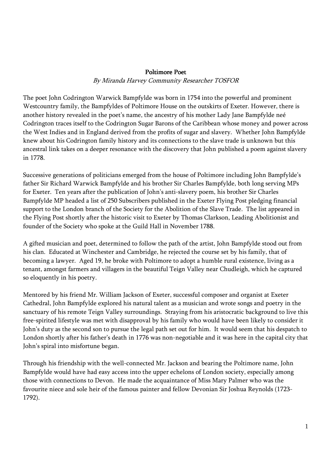## Poltimore Poet

By Miranda Harvey Community Researcher TOSFOR

The poet John Codrington Warwick Bampfylde was born in 1754 into the powerful and prominent Westcountry family, the Bampfyldes of Poltimore House on the outskirts of Exeter. However, there is another history revealed in the poet's name, the ancestry of his mother Lady Jane Bampfylde neé Codrington traces itself to the Codrington Sugar Barons of the Caribbean whose money and power across the West Indies and in England derived from the profits of sugar and slavery. Whether John Bampfylde knew about his Codrington family history and its connections to the slave trade is unknown but this ancestral link takes on a deeper resonance with the discovery that John published a poem against slavery in 1778.

Successive generations of politicians emerged from the house of Poltimore including John Bampfylde's father Sir Richard Warwick Bampfylde and his brother Sir Charles Bampfylde, both long serving MPs for Exeter. Ten years after the publication of John's anti-slavery poem, his brother Sir Charles Bampfylde MP headed a list of 250 Subscribers published in the Exeter Flying Post pledging financial support to the London branch of the Society for the Abolition of the Slave Trade. The list appeared in the Flying Post shortly after the historic visit to Exeter by Thomas Clarkson, Leading Abolitionist and founder of the Society who spoke at the Guild Hall in November 1788.

A gifted musician and poet, determined to follow the path of the artist, John Bampfylde stood out from his clan. Educated at Winchester and Cambridge, he rejected the course set by his family, that of becoming a lawyer. Aged 19, he broke with Poltimore to adopt a humble rural existence, living as a tenant, amongst farmers and villagers in the beautiful Teign Valley near Chudleigh, which he captured so eloquently in his poetry.

Mentored by his friend Mr. William Jackson of Exeter, successful composer and organist at Exeter Cathedral, John Bampfylde explored his natural talent as a musician and wrote songs and poetry in the sanctuary of his remote Teign Valley surroundings. Straying from his aristocratic background to live this free-spirited lifestyle was met with disapproval by his family who would have been likely to consider it John's duty as the second son to pursue the legal path set out for him. It would seem that his despatch to London shortly after his father's death in 1776 was non-negotiable and it was here in the capital city that John's spiral into misfortune began.

Through his friendship with the well-connected Mr. Jackson and bearing the Poltimore name, John Bampfylde would have had easy access into the upper echelons of London society, especially among those with connections to Devon. He made the acquaintance of Miss Mary Palmer who was the favourite niece and sole heir of the famous painter and fellow Devonian Sir Joshua Reynolds (1723- 1792).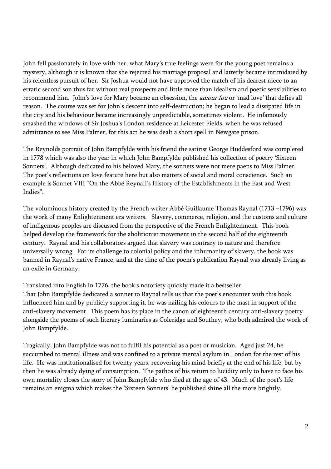John fell passionately in love with her, what Mary's true feelings were for the young poet remains a mystery, although it is known that she rejected his marriage proposal and latterly became intimidated by his relentless pursuit of her. Sir Joshua would not have approved the match of his dearest niece to an erratic second son thus far without real prospects and little more than idealism and poetic sensibilities to recommend him. John's love for Mary became an obsession, the *amour fou* or 'mad love' that defies all reason. The course was set for John's descent into self-destruction; he began to lead a dissipated life in the city and his behaviour became increasingly unpredictable, sometimes violent. He infamously smashed the windows of Sir Joshua's London residence at Leicester Fields, when he was refused admittance to see Miss Palmer, for this act he was dealt a short spell in Newgate prison.

The Reynolds portrait of John Bampfylde with his friend the satirist George Huddesford was completed in 1778 which was also the year in which John Bampfylde published his collection of poetry 'Sixteen Sonnets'. Although dedicated to his beloved Mary, the sonnets were not mere paens to Miss Palmer. The poet's reflections on love feature here but also matters of social and moral conscience. Such an example is Sonnet VIII "On the Abbé Reynall's History of the Establishments in the East and West Indies".

The voluminous history created by the French writer Abbé Guillaume Thomas Raynal (1713 –1796) was the work of many Enlightenment era writers. Slavery, commerce, religion, and the customs and culture of indigenous peoples are discussed from the perspective of the French Enlightenment. This book helped develop the framework for the abolitionist movement in the second half of the eighteenth century. Raynal and his collaborators argued that slavery was contrary to nature and therefore universally wrong. For its challenge to colonial policy and the inhumanity of slavery, the book was banned in Raynal's native France, and at the time of the poem's publication Raynal was already living as an exile in Germany.

Translated into English in 1776, the book's notoriety quickly made it a bestseller. That John Bampfylde dedicated a sonnet to Raynal tells us that the poet's encounter with this book influenced him and by publicly supporting it, he was nailing his colours to the mast in support of the anti-slavery movement. This poem has its place in the canon of eighteenth century anti-slavery poetry alongside the poems of such literary luminaries as Coleridge and Southey, who both admired the work of John Bampfylde.

Tragically, John Bampfylde was not to fulfil his potential as a poet or musician. Aged just 24, he succumbed to mental illness and was confined to a private mental asylum in London for the rest of his life. He was institutionalised for twenty years, recovering his mind briefly at the end of his life, but by then he was already dying of consumption. The pathos of his return to lucidity only to have to face his own mortality closes the story of John Bampfylde who died at the age of 43. Much of the poet's life remains an enigma which makes the 'Sixteen Sonnets' he published shine all the more brightly.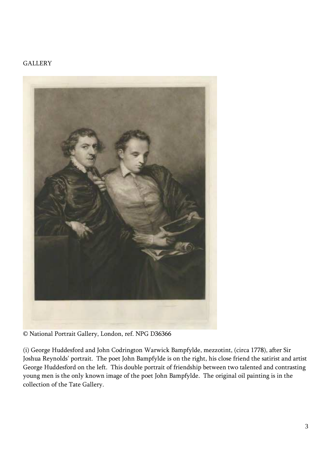## **GALLERY**



© National Portrait Gallery, London, ref. NPG D36366

(i) George Huddesford and John Codrington Warwick Bampfylde, mezzotint, (circa 1778), after Sir Joshua Reynolds' portrait. The poet John Bampfylde is on the right, his close friend the satirist and artist George Huddesford on the left. This double portrait of friendship between two talented and contrasting young men is the only known image of the poet John Bampfylde. The original oil painting is in the collection of the Tate Gallery.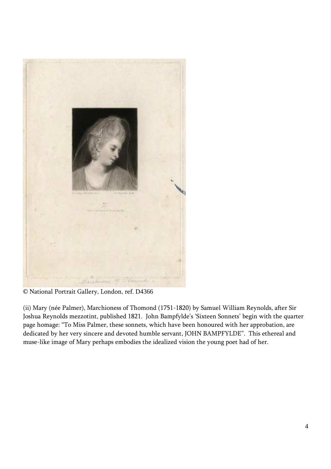

© National Portrait Gallery, London, ref. D4366

(ii) Mary (née Palmer), Marchioness of Thomond (1751-1820) by Samuel William Reynolds, after Sir Joshua Reynolds mezzotint, published 1821. John Bampfylde's 'Sixteen Sonnets' begin with the quarter page homage: "To Miss Palmer, these sonnets, which have been honoured with her approbation, are dedicated by her very sincere and devoted humble servant, JOHN BAMPFYLDE". This ethereal and muse-like image of Mary perhaps embodies the idealized vision the young poet had of her.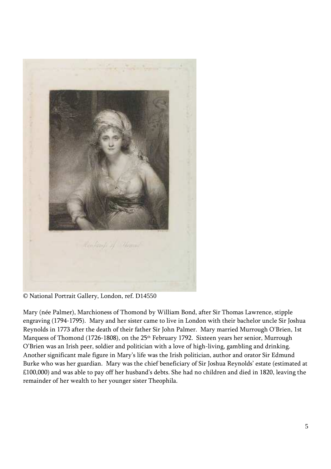

© National Portrait Gallery, London, ref. D14550

Mary (née Palmer), Marchioness of Thomond by William Bond, after Sir Thomas Lawrence, stipple engraving (1794-1795). Mary and her sister came to live in London with their bachelor uncle Sir Joshua Reynolds in 1773 after the death of their father Sir John Palmer. Mary married Murrough O'Brien, 1st Marquess of Thomond (1726-1808), on the 25<sup>th</sup> February 1792. Sixteen years her senior, Murrough O'Brien was an Irish peer, soldier and politician with a love of high-living, gambling and drinking. Another significant male figure in Mary's life was the Irish politician, author and orator Sir Edmund Burke who was her guardian. Mary was the chief beneficiary of Sir Joshua Reynolds' estate (estimated at £100,000) and was able to pay off her husband's debts. She had no children and died in 1820, leaving the remainder of her wealth to her younger sister Theophila.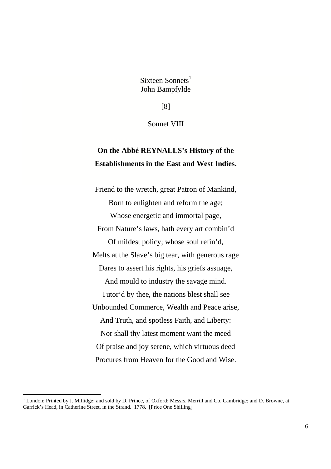Sixteen Sonnets $<sup>1</sup>$ </sup> John Bampfylde

[8]

Sonnet VIII

## **On the Abbé REYNALLS's History of the Establishments in the East and West Indies.**

Friend to the wretch, great Patron of Mankind, Born to enlighten and reform the age; Whose energetic and immortal page, From Nature's laws, hath every art combin'd Of mildest policy; whose soul refin'd, Melts at the Slave's big tear, with generous rage Dares to assert his rights, his griefs assuage, And mould to industry the savage mind. Tutor'd by thee, the nations blest shall see Unbounded Commerce, Wealth and Peace arise, And Truth, and spotless Faith, and Liberty: Nor shall thy latest moment want the meed Of praise and joy serene, which virtuous deed Procures from Heaven for the Good and Wise.

<u>.</u>

<sup>&</sup>lt;sup>1</sup> London: Printed by J. Millidge; and sold by D. Prince, of Oxford; Messrs. Merrill and Co. Cambridge; and D. Browne, at Garrick's Head, in Catherine Street, in the Strand. 1778. [Price One Shilling]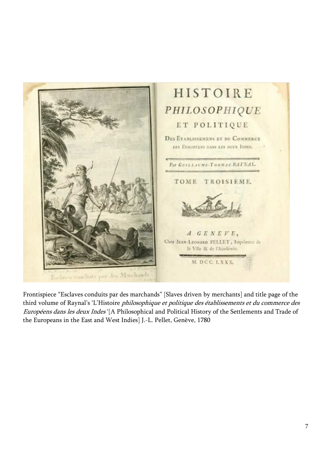

Frontispiece "Esclaves conduits par des marchands" [Slaves driven by merchants] and title page of the third volume of Raynal's 'L'Histoire *philosophique et politique des établissements et du commerce des* Européens dans les deux Indes '[A Philosophical and Political History of the Settlements and Trade of the Europeans in the East and West Indies] J.-L. Pellet, Genève, 1780